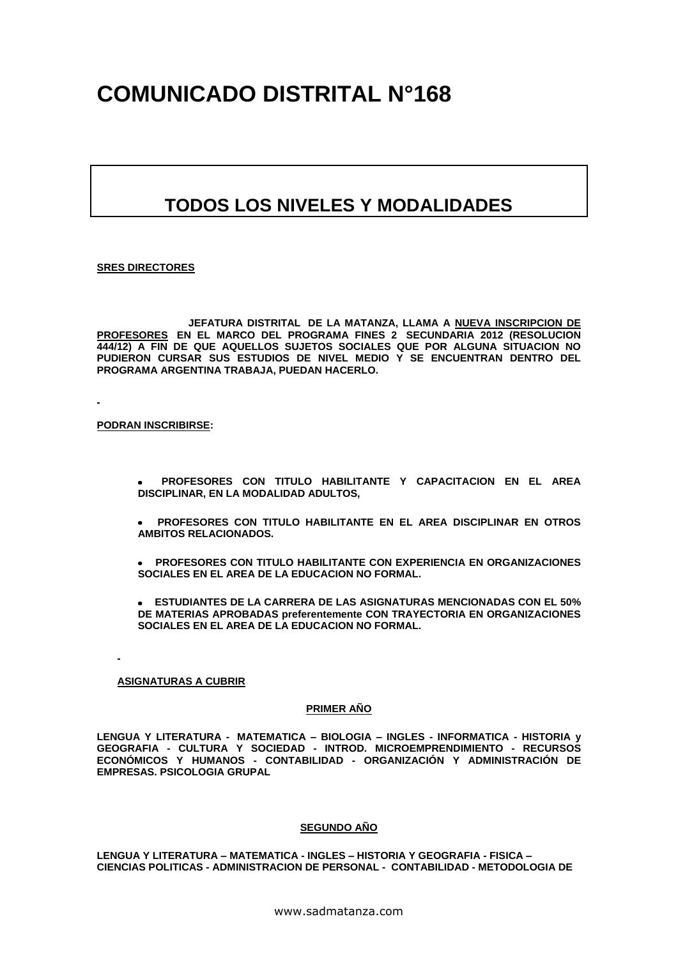# **COMUNICADO DISTRITAL N°168**

# **TODOS LOS NIVELES Y MODALIDADES**

#### **SRES DIRECTORES**

 **JEFATURA DISTRITAL DE LA MATANZA, LLAMA A NUEVA INSCRIPCION DE PROFESORES EN EL MARCO DEL PROGRAMA FINES 2 SECUNDARIA 2012 (RESOLUCION 444/12) A FIN DE QUE AQUELLOS SUJETOS SOCIALES QUE POR ALGUNA SITUACION NO PUDIERON CURSAR SUS ESTUDIOS DE NIVEL MEDIO Y SE ENCUENTRAN DENTRO DEL PROGRAMA ARGENTINA TRABAJA, PUEDAN HACERLO.**

**PODRAN INSCRIBIRSE:**

- **PROFESORES CON TITULO HABILITANTE Y CAPACITACION EN EL AREA DISCIPLINAR, EN LA MODALIDAD ADULTOS,**
- **PROFESORES CON TITULO HABILITANTE EN EL AREA DISCIPLINAR EN OTROS AMBITOS RELACIONADOS.**
- **PROFESORES CON TITULO HABILITANTE CON EXPERIENCIA EN ORGANIZACIONES SOCIALES EN EL AREA DE LA EDUCACION NO FORMAL.**

 **ESTUDIANTES DE LA CARRERA DE LAS ASIGNATURAS MENCIONADAS CON EL 50% DE MATERIAS APROBADAS preferentemente CON TRAYECTORIA EN ORGANIZACIONES SOCIALES EN EL AREA DE LA EDUCACION NO FORMAL.**

### **ASIGNATURAS A CUBRIR**

#### **PRIMER AÑO**

**LENGUA Y LITERATURA - MATEMATICA – BIOLOGIA – INGLES - INFORMATICA - HISTORIA y GEOGRAFIA - CULTURA Y SOCIEDAD - INTROD. MICROEMPRENDIMIENTO - RECURSOS ECONÓMICOS Y HUMANOS - CONTABILIDAD - ORGANIZACIÓN Y ADMINISTRACIÓN DE EMPRESAS. PSICOLOGIA GRUPAL**

#### **SEGUNDO AÑO**

**LENGUA Y LITERATURA – MATEMATICA - INGLES – HISTORIA Y GEOGRAFIA - FISICA – CIENCIAS POLITICAS - ADMINISTRACION DE PERSONAL - CONTABILIDAD - METODOLOGIA DE**